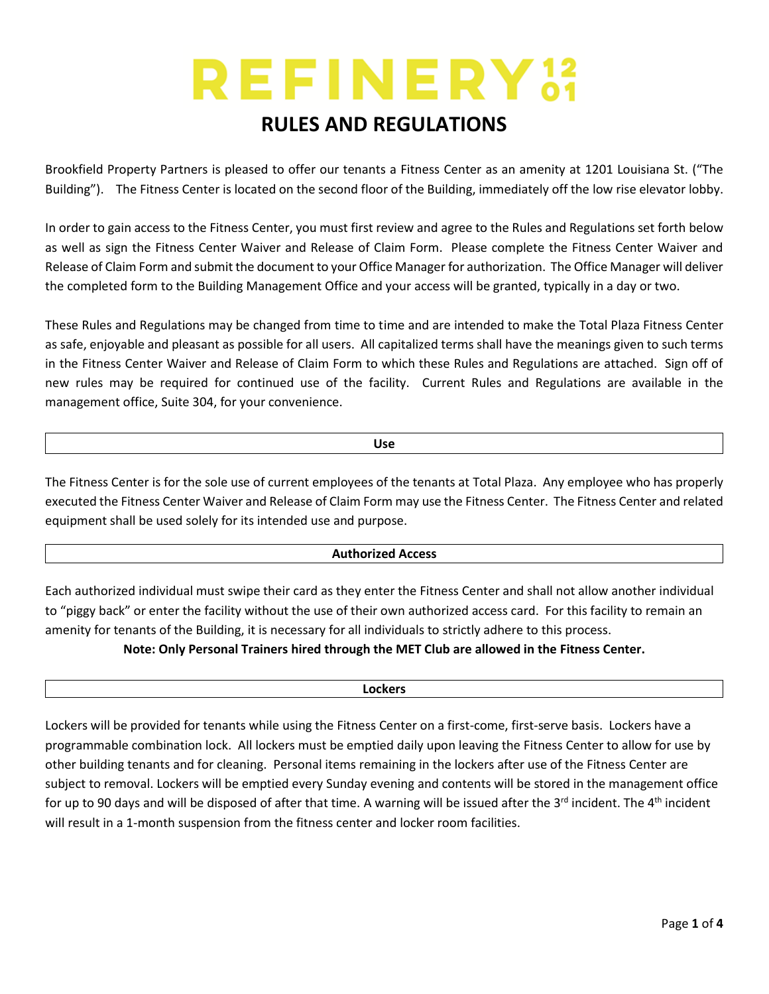# **REFINERY33**

## **RULES AND REGULATIONS**

Brookfield Property Partners is pleased to offer our tenants a Fitness Center as an amenity at 1201 Louisiana St. ("The Building"). The Fitness Center is located on the second floor of the Building, immediately off the low rise elevator lobby.

In order to gain access to the Fitness Center, you must first review and agree to the Rules and Regulations set forth below as well as sign the Fitness Center Waiver and Release of Claim Form. Please complete the Fitness Center Waiver and Release of Claim Form and submit the document to your Office Manager for authorization. The Office Manager will deliver the completed form to the Building Management Office and your access will be granted, typically in a day or two.

These Rules and Regulations may be changed from time to time and are intended to make the Total Plaza Fitness Center as safe, enjoyable and pleasant as possible for all users. All capitalized terms shall have the meanings given to such terms in the Fitness Center Waiver and Release of Claim Form to which these Rules and Regulations are attached. Sign off of new rules may be required for continued use of the facility. Current Rules and Regulations are available in the management office, Suite 304, for your convenience.

The Fitness Center is for the sole use of current employees of the tenants at Total Plaza. Any employee who has properly executed the Fitness Center Waiver and Release of Claim Form may use the Fitness Center. The Fitness Center and related equipment shall be used solely for its intended use and purpose.

#### **Authorized Access**

Each authorized individual must swipe their card as they enter the Fitness Center and shall not allow another individual to "piggy back" or enter the facility without the use of their own authorized access card. For this facility to remain an amenity for tenants of the Building, it is necessary for all individuals to strictly adhere to this process.

**Note: Only Personal Trainers hired through the MET Club are allowed in the Fitness Center.**

#### **Lockers**

Lockers will be provided for tenants while using the Fitness Center on a first-come, first-serve basis. Lockers have a programmable combination lock. All lockers must be emptied daily upon leaving the Fitness Center to allow for use by other building tenants and for cleaning. Personal items remaining in the lockers after use of the Fitness Center are subject to removal. Lockers will be emptied every Sunday evening and contents will be stored in the management office for up to 90 days and will be disposed of after that time. A warning will be issued after the  $3^{rd}$  incident. The  $4^{th}$  incident will result in a 1-month suspension from the fitness center and locker room facilities.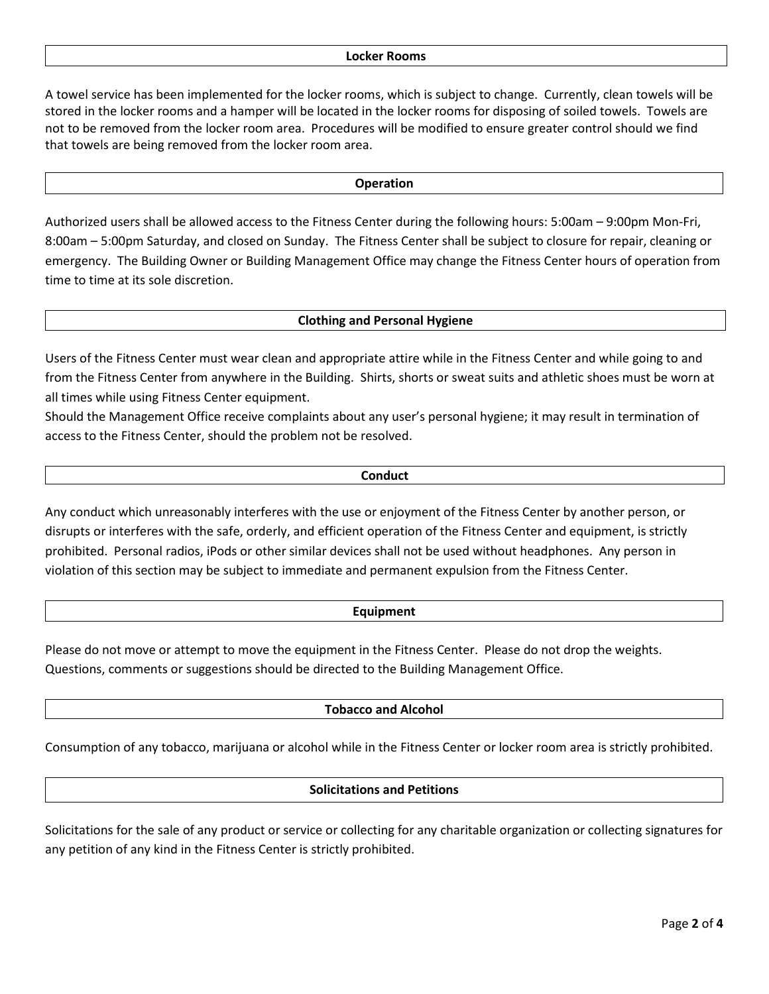A towel service has been implemented for the locker rooms, which is subject to change. Currently, clean towels will be stored in the locker rooms and a hamper will be located in the locker rooms for disposing of soiled towels. Towels are not to be removed from the locker room area. Procedures will be modified to ensure greater control should we find that towels are being removed from the locker room area.

#### **Operation**

Authorized users shall be allowed access to the Fitness Center during the following hours: 5:00am – 9:00pm Mon-Fri, 8:00am – 5:00pm Saturday, and closed on Sunday. The Fitness Center shall be subject to closure for repair, cleaning or emergency. The Building Owner or Building Management Office may change the Fitness Center hours of operation from time to time at its sole discretion.

#### **Clothing and Personal Hygiene**

Users of the Fitness Center must wear clean and appropriate attire while in the Fitness Center and while going to and from the Fitness Center from anywhere in the Building. Shirts, shorts or sweat suits and athletic shoes must be worn at all times while using Fitness Center equipment.

Should the Management Office receive complaints about any user's personal hygiene; it may result in termination of access to the Fitness Center, should the problem not be resolved.

#### **Conduct**

Any conduct which unreasonably interferes with the use or enjoyment of the Fitness Center by another person, or disrupts or interferes with the safe, orderly, and efficient operation of the Fitness Center and equipment, is strictly prohibited. Personal radios, iPods or other similar devices shall not be used without headphones. Any person in violation of this section may be subject to immediate and permanent expulsion from the Fitness Center.

#### **Equipment**

Please do not move or attempt to move the equipment in the Fitness Center. Please do not drop the weights. Questions, comments or suggestions should be directed to the Building Management Office.

#### **Tobacco and Alcohol**

Consumption of any tobacco, marijuana or alcohol while in the Fitness Center or locker room area is strictly prohibited.

#### **Solicitations and Petitions**

Solicitations for the sale of any product or service or collecting for any charitable organization or collecting signatures for any petition of any kind in the Fitness Center is strictly prohibited.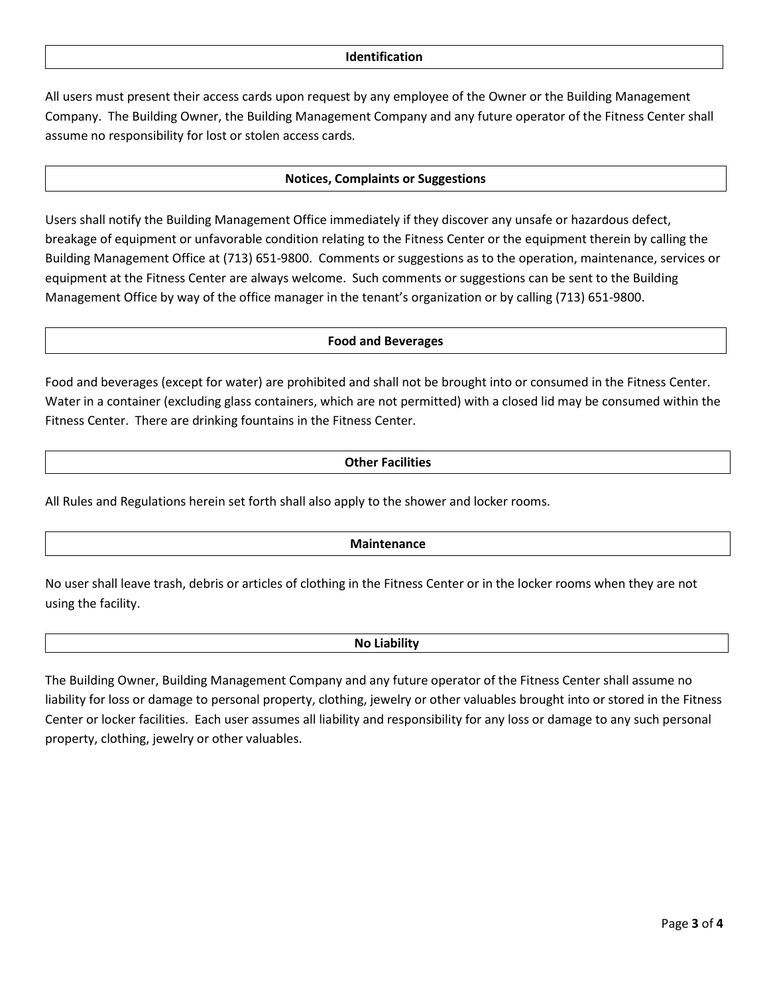All users must present their access cards upon request by any employee of the Owner or the Building Management Company. The Building Owner, the Building Management Company and any future operator of the Fitness Center shall assume no responsibility for lost or stolen access cards.

#### **Notices, Complaints or Suggestions**

Users shall notify the Building Management Office immediately if they discover any unsafe or hazardous defect, breakage of equipment or unfavorable condition relating to the Fitness Center or the equipment therein by calling the Building Management Office at (713) 651-9800. Comments or suggestions as to the operation, maintenance, services or equipment at the Fitness Center are always welcome. Such comments or suggestions can be sent to the Building Management Office by way of the office manager in the tenant's organization or by calling (713) 651-9800.

#### **Food and Beverages**

Food and beverages (except for water) are prohibited and shall not be brought into or consumed in the Fitness Center. Water in a container (excluding glass containers, which are not permitted) with a closed lid may be consumed within the Fitness Center. There are drinking fountains in the Fitness Center.

#### **Other Facilities**

All Rules and Regulations herein set forth shall also apply to the shower and locker rooms.

#### **Maintenance**

No user shall leave trash, debris or articles of clothing in the Fitness Center or in the locker rooms when they are not using the facility.

#### **No Liability**

The Building Owner, Building Management Company and any future operator of the Fitness Center shall assume no liability for loss or damage to personal property, clothing, jewelry or other valuables brought into or stored in the Fitness Center or locker facilities. Each user assumes all liability and responsibility for any loss or damage to any such personal property, clothing, jewelry or other valuables.